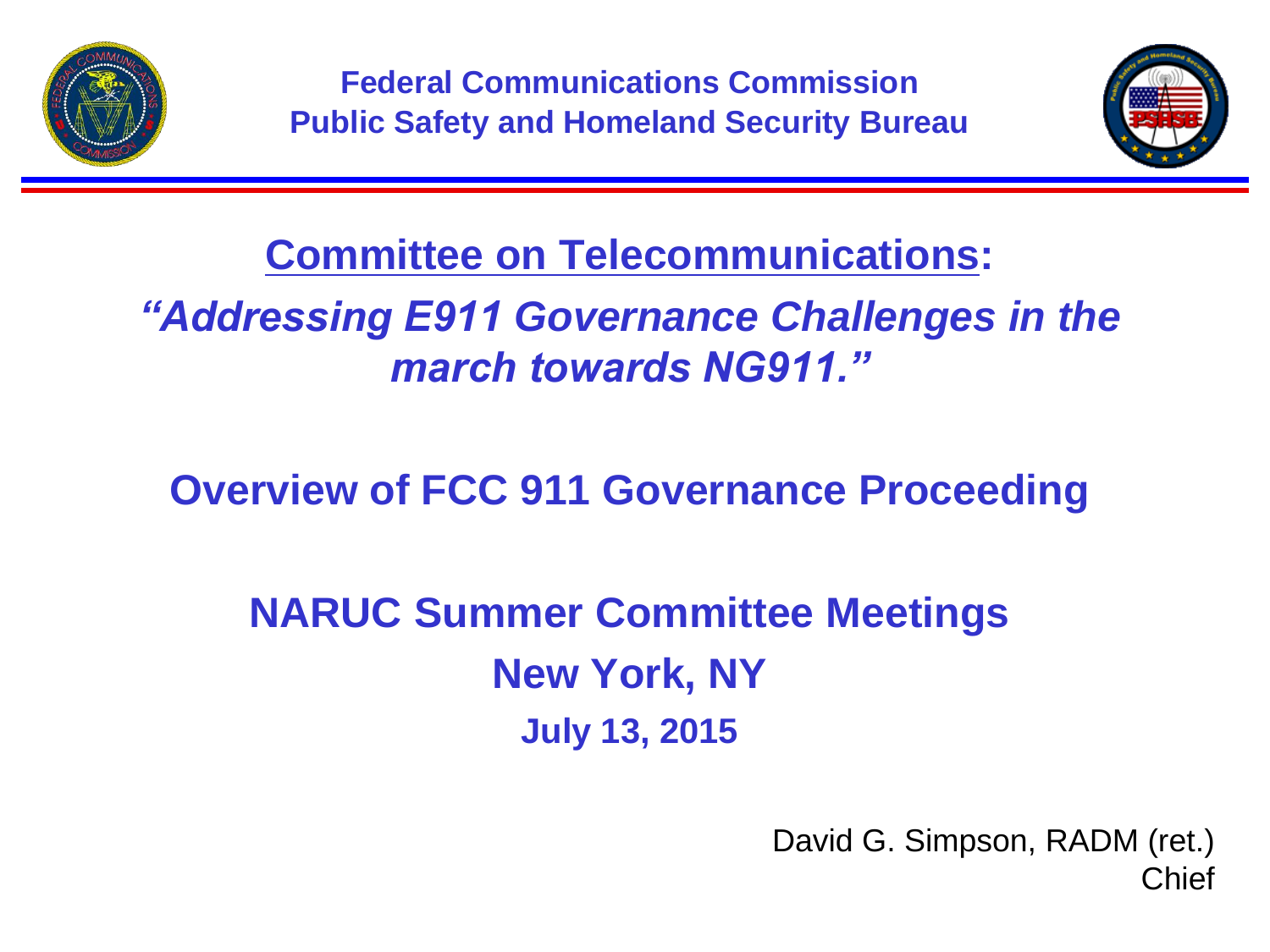



**Committee on Telecommunications:**

*"Addressing E911 Governance Challenges in the march towards NG911."*

**Overview of FCC 911 Governance Proceeding**

**NARUC Summer Committee Meetings New York, NY July 13, 2015**

> David G. Simpson, RADM (ret.) Chief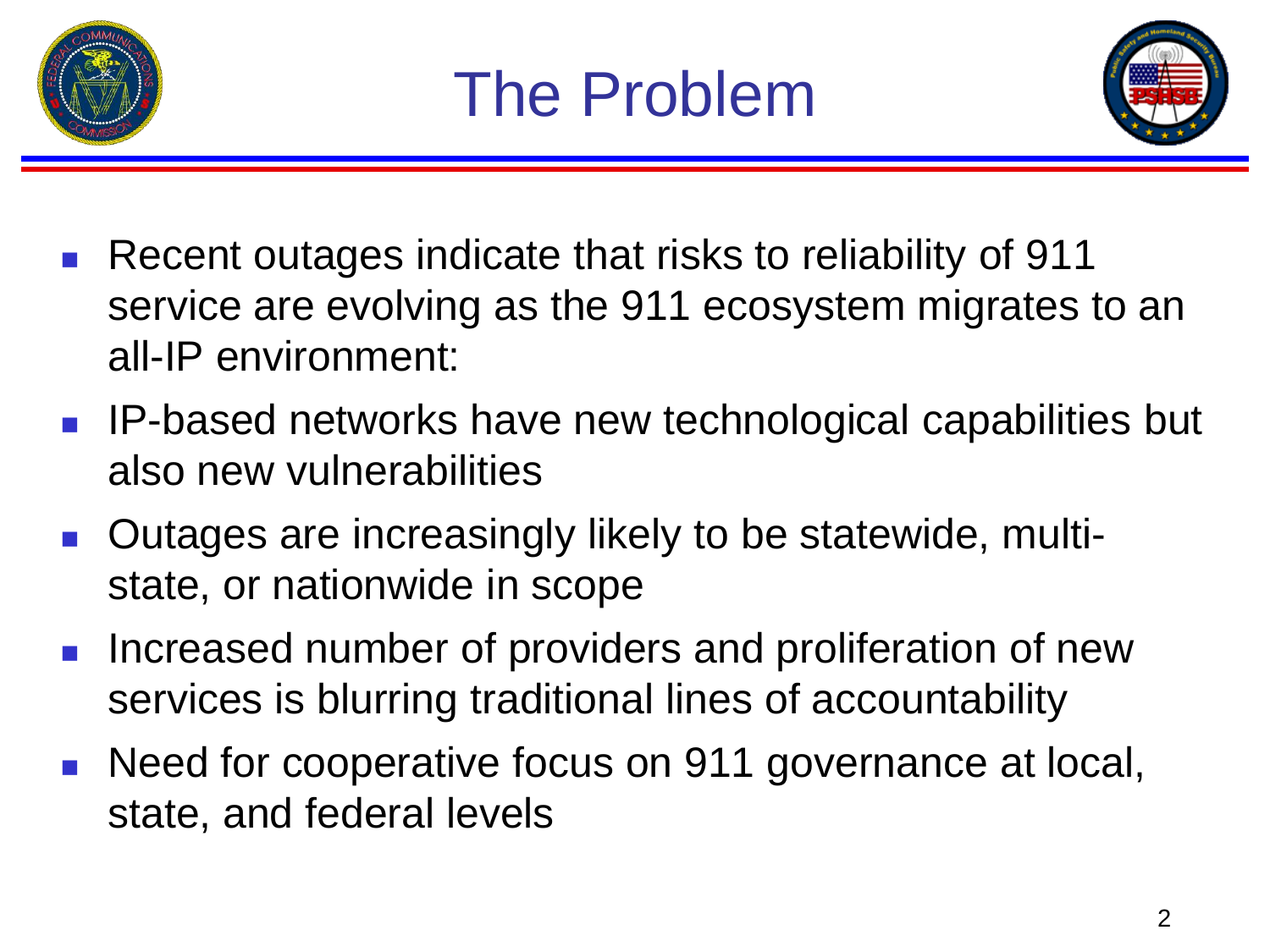



- Recent outages indicate that risks to reliability of 911 service are evolving as the 911 ecosystem migrates to an all-IP environment:
- IP-based networks have new technological capabilities but also new vulnerabilities
- Outages are increasingly likely to be statewide, multistate, or nationwide in scope
- **Increased number of providers and proliferation of new** services is blurring traditional lines of accountability
- **Need for cooperative focus on 911 governance at local,** state, and federal levels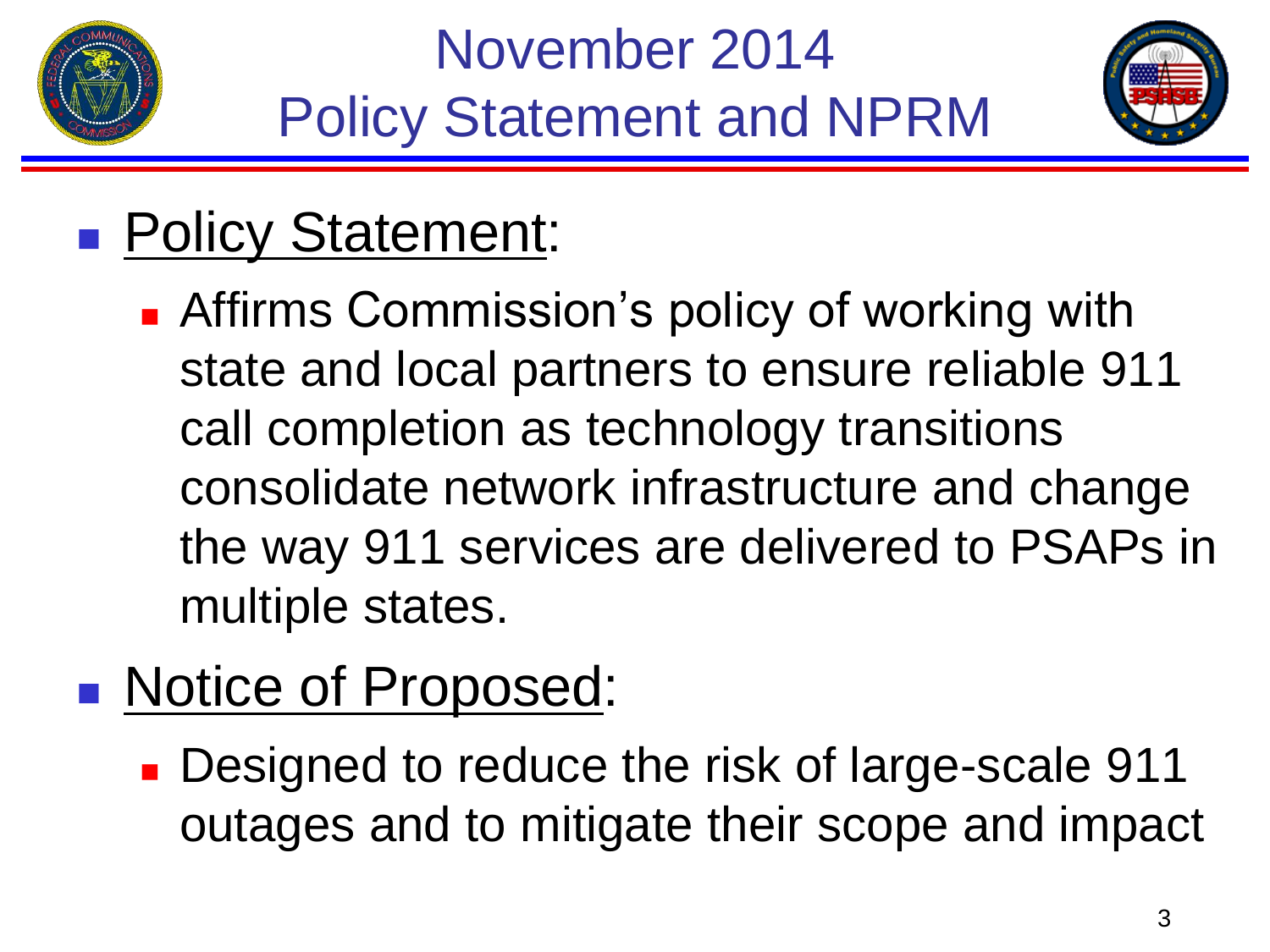



## **Policy Statement:**

- **Affirms Commission's policy of working with** state and local partners to ensure reliable 911 call completion as technology transitions consolidate network infrastructure and change the way 911 services are delivered to PSAPs in multiple states.
- **Notice of Proposed:** 
	- **Designed to reduce the risk of large-scale 911** outages and to mitigate their scope and impact